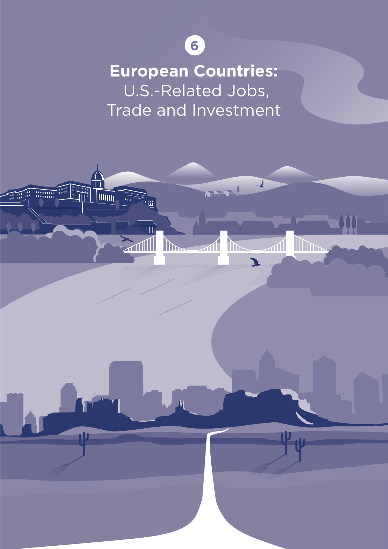

**European Countries:** U.S.-Related Jobs, Trade and Investment

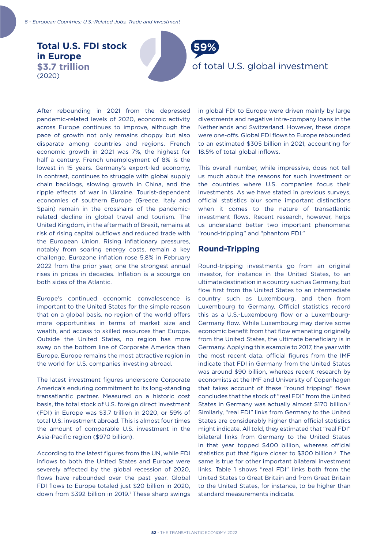**Total U.S. FDI stock in Europe \$3.7 trillion**  (2020)



After rebounding in 2021 from the depressed pandemic-related levels of 2020, economic activity across Europe continues to improve, although the pace of growth not only remains choppy but also disparate among countries and regions. French economic growth in 2021 was 7%, the highest for half a century. French unemployment of 8% is the lowest in 15 years. Germany's export-led economy, in contrast, continues to struggle with global supply chain backlogs, slowing growth in China, and the ripple effects of war in Ukraine. Tourist-dependent economies of southern Europe (Greece, Italy and Spain) remain in the crosshairs of the pandemicrelated decline in global travel and tourism. The United Kingdom, in the aftermath of Brexit, remains at risk of rising capital outflows and reduced trade with the European Union. Rising inflationary pressures, notably from soaring energy costs, remain a key challenge. Eurozone inflation rose 5.8% in February 2022 from the prior year, one the strongest annual rises in prices in decades. Inflation is a scourge on both sides of the Atlantic.

Europe's continued economic convalescence is important to the United States for the simple reason that on a global basis, no region of the world offers more opportunities in terms of market size and wealth, and access to skilled resources than Europe. Outside the United States, no region has more sway on the bottom line of Corporate America than Europe. Europe remains the most attractive region in the world for U.S. companies investing abroad.

The latest investment figures underscore Corporate America's enduring commitment to its long-standing transatlantic partner. Measured on a historic cost basis, the total stock of U.S. foreign direct investment (FDI) in Europe was \$3.7 trillion in 2020, or 59% of total U.S. investment abroad. This is almost four times the amount of comparable U.S. investment in the Asia-Pacific region (\$970 billion).

According to the latest figures from the UN, while FDI inflows to both the United States and Europe were severely affected by the global recession of 2020, flows have rebounded over the past year. Global FDI flows to Europe totaled just \$20 billion in 2020, down from \$392 billion in 2019.<sup>1</sup> These sharp swings in global FDI to Europe were driven mainly by large divestments and negative intra-company loans in the Netherlands and Switzerland. However, these drops were one-offs. Global FDI flows to Europe rebounded to an estimated \$305 billion in 2021, accounting for 18.5% of total global inflows.

This overall number, while impressive, does not tell us much about the reasons for such investment or the countries where U.S. companies focus their investments. As we have stated in previous surveys, official statistics blur some important distinctions when it comes to the nature of transatlantic investment flows. Recent research, however, helps us understand better two important phenomena: "round-tripping" and "phantom FDI."

## **Round-Tripping**

Round-tripping investments go from an original investor, for instance in the United States, to an ultimate destination in a country such as Germany, but flow first from the United States to an intermediate country such as Luxembourg, and then from Luxembourg to Germany. Official statistics record this as a U.S.-Luxembourg flow or a Luxembourg-Germany flow. While Luxembourg may derive some economic benefit from that flow emanating originally from the United States, the ultimate beneficiary is in Germany. Applying this example to 2017, the year with the most recent data, official figures from the IMF indicate that FDI in Germany from the United States was around \$90 billion, whereas recent research by economists at the IMF and University of Copenhagen that takes account of these "round tripping" flows concludes that the stock of "real FDI" from the United States in Germany was actually almost \$170 billion.2 Similarly, "real FDI" links from Germany to the United States are considerably higher than official statistics might indicate. All told, they estimated that "real FDI" bilateral links from Germany to the United States in that year topped \$400 billion, whereas official statistics put that figure closer to \$300 billion.<sup>3</sup> The same is true for other important bilateral investment links. Table 1 shows "real FDI" links both from the United States to Great Britain and from Great Britain to the United States, for instance, to be higher than standard measurements indicate.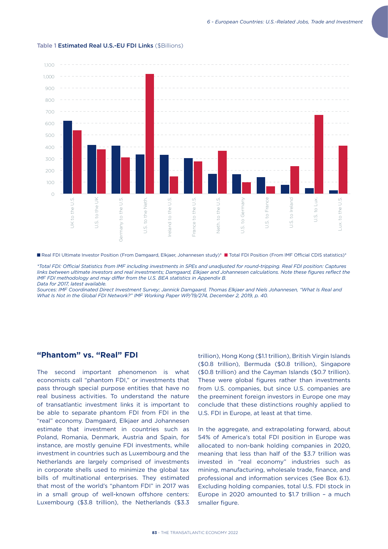

#### Table 1 Estimated Real U.S.-EU FDI Links (\$Billions)

*\*Total FDI: Official Statistics from IMF including investments in SPEs and unadjusted for round-tripping. Real FDI position: Captures links between ultimate investors and real investments; Damgaard, Elkjaer and Johannesen calculations. Note these figures reflect the IMF FDI methodology and may differ from the U.S. BEA statistics in Appendix B. Data for 2017, latest available.* 

*Sources: IMF Coordinated Direct Investment Survey; Jannick Damgaard, Thomas Elkjaer and Niels Johannesen, "What Is Real and What Is Not in the Global FDI Network?" IMF Working Paper WP/19/274, December 2, 2019, p. 40.*

## **"Phantom" vs. "Real" FDI**

The second important phenomenon is what economists call "phantom FDI," or investments that pass through special purpose entities that have no real business activities. To understand the nature of transatlantic investment links it is important to be able to separate phantom FDI from FDI in the "real" economy. Damgaard, Elkjaer and Johannesen estimate that investment in countries such as Poland, Romania, Denmark, Austria and Spain, for instance, are mostly genuine FDI investments, while investment in countries such as Luxembourg and the Netherlands are largely comprised of investments in corporate shells used to minimize the global tax bills of multinational enterprises. They estimated that most of the world's "phantom FDI" in 2017 was in a small group of well-known offshore centers: Luxembourg (\$3.8 trillion), the Netherlands (\$3.3 trillion), Hong Kong (\$1.1 trillion), British Virgin Islands (\$0.8 trillion), Bermuda (\$0.8 trillion), Singapore (\$0.8 trillion) and the Cayman Islands (\$0.7 trillion). These were global figures rather than investments from U.S. companies, but since U.S. companies are the preeminent foreign investors in Europe one may conclude that these distinctions roughly applied to U.S. FDI in Europe, at least at that time.

In the aggregate, and extrapolating forward, about 54% of America's total FDI position in Europe was allocated to non-bank holding companies in 2020, meaning that less than half of the \$3.7 trillion was invested in "real economy" industries such as mining, manufacturing, wholesale trade, finance, and professional and information services (See Box 6.1). Excluding holding companies, total U.S. FDI stock in Europe in 2020 amounted to \$1.7 trillion – a much smaller figure.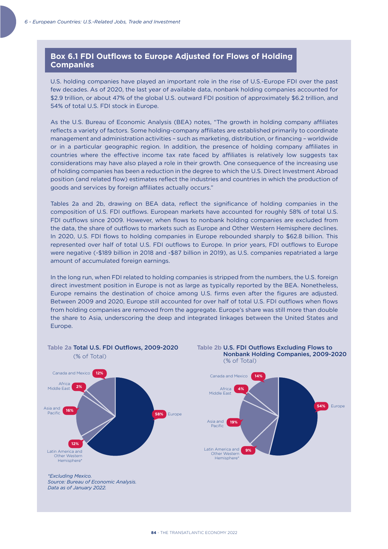## **Box 6.1 FDI Outflows to Europe Adjusted for Flows of Holding Companies**

U.S. holding companies have played an important role in the rise of U.S.-Europe FDI over the past few decades. As of 2020, the last year of available data, nonbank holding companies accounted for \$2.9 trillion, or about 47% of the global U.S. outward FDI position of approximately \$6.2 trillion, and 54% of total U.S. FDI stock in Europe.

As the U.S. Bureau of Economic Analysis (BEA) notes, "The growth in holding company affiliates reflects a variety of factors. Some holding-company affiliates are established primarily to coordinate management and administration activities – such as marketing, distribution, or financing – worldwide or in a particular geographic region. In addition, the presence of holding company affiliates in countries where the effective income tax rate faced by affiliates is relatively low suggests tax considerations may have also played a role in their growth. One consequence of the increasing use of holding companies has been a reduction in the degree to which the U.S. Direct Investment Abroad position (and related flow) estimates reflect the industries and countries in which the production of goods and services by foreign affiliates actually occurs."

Tables 2a and 2b, drawing on BEA data, reflect the significance of holding companies in the composition of U.S. FDI outflows. European markets have accounted for roughly 58% of total U.S. FDI outflows since 2009. However, when flows to nonbank holding companies are excluded from the data, the share of outflows to markets such as Europe and Other Western Hemisphere declines. In 2020, U.S. FDI flows to holding companies in Europe rebounded sharply to \$62.8 billion. This represented over half of total U.S. FDI outflows to Europe. In prior years, FDI outflows to Europe were negative (-\$189 billion in 2018 and -\$87 billion in 2019), as U.S. companies repatriated a large amount of accumulated foreign earnings.

In the long run, when FDI related to holding companies is stripped from the numbers, the U.S. foreign direct investment position in Europe is not as large as typically reported by the BEA. Nonetheless, Europe remains the destination of choice among U.S. firms even after the figures are adjusted. Between 2009 and 2020, Europe still accounted for over half of total U.S. FDI outflows when flows from holding companies are removed from the aggregate. Europe's share was still more than double the share to Asia, underscoring the deep and integrated linkages between the United States and Europe.

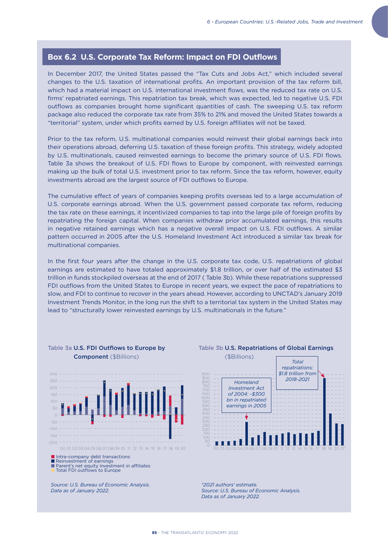## **Box 6.2 U.S. Corporate Tax Reform: Impact on FDI Outflows**

In December 2017, the United States passed the "Tax Cuts and Jobs Act," which included several changes to the U.S. taxation of international profits. An important provision of the tax reform bill, which had a material impact on U.S. international investment flows, was the reduced tax rate on U.S. firms' repatriated earnings. This repatriation tax break, which was expected, led to negative U.S. FDI outflows as companies brought home significant quantities of cash. The sweeping U.S. tax reform package also reduced the corporate tax rate from 35% to 21% and moved the United States towards a "territorial" system, under which profits earned by U.S. foreign affiliates will not be taxed.

Prior to the tax reform, U.S. multinational companies would reinvest their global earnings back into their operations abroad, deferring U.S. taxation of these foreign profits. This strategy, widely adopted by U.S. multinationals, caused reinvested earnings to become the primary source of U.S. FDI flows. Table 3a shows the breakout of U.S. FDI flows to Europe by component, with reinvested earnings making up the bulk of total U.S. investment prior to tax reform. Since the tax reform, however, equity investments abroad are the largest source of FDI outflows to Europe.

The cumulative effect of years of companies keeping profits overseas led to a large accumulation of U.S. corporate earnings abroad. When the U.S. government passed corporate tax reform, reducing the tax rate on these earnings, it incentivized companies to tap into the large pile of foreign profits by repatriating the foreign capital. When companies withdraw prior accumulated earnings, this results in negative retained earnings which has a negative overall impact on U.S. FDI outflows. A similar pattern occurred in 2005 after the U.S. Homeland Investment Act introduced a similar tax break for multinational companies.

In the first four years after the change in the U.S. corporate tax code, U.S. repatriations of global earnings are estimated to have totaled approximately \$1.8 trillion, or over half of the estimated \$3 trillion in funds stockpiled overseas at the end of 2017 ( Table 3b). While these repatriations suppressed FDI outflows from the United States to Europe in recent years, we expect the pace of repatriations to slow, and FDI to continue to recover in the years ahead. However, according to UNCTAD's January 2019 Investment Trends Monitor, in the long run the shift to a territorial tax system in the United States may lead to "structurally lower reinvested earnings by U.S. multinationals in the future."



Table 3a U.S. FDI Outflows to Europe by

*Source: U.S. Bureau of Economic Analysis. Data as of January 2022.*



*\*2021 authors' estimate. Source: U.S. Bureau of Economic Analysis. Data as of January 2022.*

## Table 3b U.S. Repatriations of Global Earnings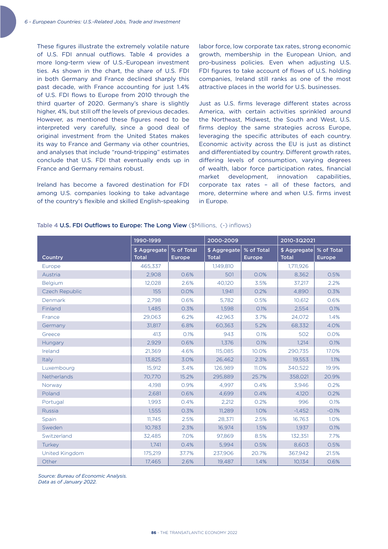These figures illustrate the extremely volatile nature of U.S. FDI annual outflows. Table 4 provides a more long-term view of U.S.-European investment ties. As shown in the chart, the share of U.S. FDI in both Germany and France declined sharply this past decade, with France accounting for just 1.4% of U.S. FDI flows to Europe from 2010 through the third quarter of 2020. Germany's share is slightly higher, 4%, but still off the levels of previous decades. However, as mentioned these figures need to be interpreted very carefully, since a good deal of original investment from the United States makes its way to France and Germany via other countries, and analyses that include "round-tripping" estimates conclude that U.S. FDI that eventually ends up in France and Germany remains robust.

Ireland has become a favored destination for FDI among U.S. companies looking to take advantage of the country's flexible and skilled English-speaking

labor force, low corporate tax rates, strong economic growth, membership in the European Union, and pro-business policies. Even when adjusting U.S. FDI figures to take account of flows of U.S. holding companies, Ireland still ranks as one of the most attractive places in the world for U.S. businesses.

Just as U.S. firms leverage different states across America, with certain activities sprinkled around the Northeast, Midwest, the South and West, U.S. firms deploy the same strategies across Europe, leveraging the specific attributes of each country. Economic activity across the EU is just as distinct and differentiated by country. Different growth rates, differing levels of consumption, varying degrees of wealth, labor force participation rates, financial market development, innovation capabilities, corporate tax rates – all of these factors, and more, determine where and when U.S. firms invest in Europe.

|                | 1990-1999                    |                      | 2000-2009                    |                      | 2010-3Q2021                  |                      |
|----------------|------------------------------|----------------------|------------------------------|----------------------|------------------------------|----------------------|
| Country        | \$ Aggregate<br><b>Total</b> | % of Total<br>Europe | \$ Aggregate<br><b>Total</b> | % of Total<br>Europe | \$ Aggregate<br><b>Total</b> | % of Total<br>Europe |
| Europe         | 465.337                      |                      | 1.149.810                    |                      | 1.711.926                    |                      |
| Austria        | 2.908                        | 0.6%                 | 501                          | 0.0%                 | 8.362                        | 0.5%                 |
| <b>Belgium</b> | 12,028                       | 2.6%                 | 40,120                       | 3.5%                 | 37,217                       | 2.2%                 |
| Czech Republic | 155                          | 0.0%                 | 1.941                        | 0.2%                 | 4,890                        | 0.3%                 |
| Denmark        | 2,798                        | 0.6%                 | 5,782                        | 0.5%                 | 10,612                       | 0.6%                 |
| Finland        | 1,485                        | 0.3%                 | 1,598                        | 0.1%                 | 2,554                        | 0.1%                 |
| France         | 29.063                       | 6.2%                 | 42,963                       | 3.7%                 | 24.072                       | 1.4%                 |
| Germany        | 31.817                       | 6.8%                 | 60,363                       | 5.2%                 | 68,332                       | 4.0%                 |
| Greece         | 413                          | 0.1%                 | 943                          | 0.1%                 | 502                          | 0.0%                 |
| Hungary        | 2,929                        | 0.6%                 | 1,376                        | O.1%                 | 1,214                        | 0.1%                 |
| Ireland        | 21,369                       | 4.6%                 | 115,085                      | 10.0%                | 290,735                      | 17.0%                |
| Italy          | 13,825                       | 3.0%                 | 26,462                       | 2.3%                 | 19,553                       | 1.1%                 |
| Luxembourg     | 15.912                       | 3.4%                 | 126.989                      | 11.0%                | 340.522                      | 19.9%                |
| Netherlands    | 70.770                       | 15.2%                | 295.889                      | 25.7%                | 358.021                      | 20.9%                |
| Norway         | 4,198                        | 0.9%                 | 4.997                        | 0.4%                 | 3,946                        | 0.2%                 |
| Poland         | 2,681                        | 0.6%                 | 4,699                        | 0.4%                 | 4,120                        | 0.2%                 |
| Portugal       | 1,993                        | 0.4%                 | 2,212                        | 0.2%                 | 996                          | 0.1%                 |
| <b>Russia</b>  | 1,555                        | 0.3%                 | 11,289                       | 1.0%                 | $-1,452$                     | $-0.1%$              |
| Spain          | 11,745                       | 2.5%                 | 28,371                       | 2.5%                 | 16,763                       | 1.0%                 |
| Sweden         | 10,783                       | 2.3%                 | 16.974                       | 1.5%                 | 1.937                        | 0.1%                 |
| Switzerland    | 32,485                       | 7.0%                 | 97,869                       | 8.5%                 | 132,351                      | 7.7%                 |
| Turkey         | 1,741                        | 0.4%                 | 5,994                        | 0.5%                 | 8,603                        | 0.5%                 |
| United Kingdom | 175,219                      | 37.7%                | 237,906                      | 20.7%                | 367,942                      | 21.5%                |
| Other          | 17,465                       | 2.6%                 | 19,487                       | 1.4%                 | 10,134                       | 0.6%                 |

Table 4 U.S. FDI Outflows to Europe: The Long View (\$Millions, (-) inflows)

*Source: Bureau of Economic Analysis.* 

*Data as of January 2022.*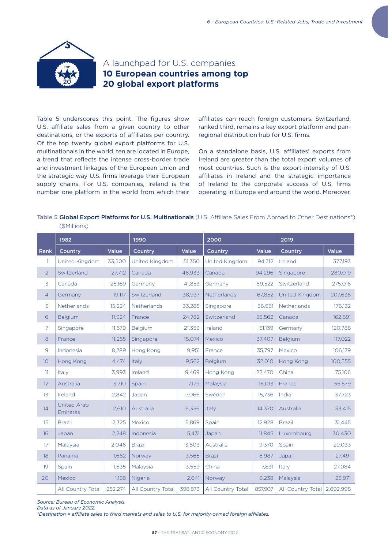

## A launchpad for U.S. companies **10 European countries among top 20 global export platforms**

Table 5 underscores this point. The figures show U.S. affiliate sales from a given country to other destinations, or the exports of affiliates per country. Of the top twenty global export platforms for U.S. multinationals in the world, ten are located in Europe, a trend that reflects the intense cross-border trade and investment linkages of the European Union and the strategic way U.S. firms leverage their European supply chains. For U.S. companies, Ireland is the number one platform in the world from which their

affiliates can reach foreign customers. Switzerland, ranked third, remains a key export platform and panregional distribution hub for U.S. firms.

On a standalone basis, U.S. affiliates' exports from Ireland are greater than the total export volumes of most countries. Such is the export-intensity of U.S. affiliates in Ireland and the strategic importance of Ireland to the corporate success of U.S. firms operating in Europe and around the world. Moreover,

Table 5 Global Export Platforms for U.S. Multinationals (U.S. Affiliate Sales From Abroad to Other Destinations\*) (\$Millions)

|                 | 1982                           |         | 1990              |         | 2000              |         | 2019              |           |
|-----------------|--------------------------------|---------|-------------------|---------|-------------------|---------|-------------------|-----------|
| Rank            | Country                        | Value   | Country           | Value   | Country           | Value   | Country           | Value     |
| 1.              | United Kingdom                 | 33,500  | United Kingdom    | 51,350  | United Kingdom    | 94,712  | Ireland           | 377,193   |
| $\overline{2}$  | Switzerland                    | 27,712  | Canada            | 46,933  | Canada            | 94,296  | Singapore         | 280,019   |
| 3               | Canada                         | 25,169  | Germany           | 41,853  | Germany           | 69,522  | Switzerland       | 275,016   |
| 4               | Germany                        | 19,117  | Switzerland       | 38,937  | Netherlands       | 67,852  | United Kingdom    | 207,636   |
| 5               | Netherlands                    | 15,224  | Netherlands       | 33,285  | Singapore         | 56,961  | Netherlands       | 176,132   |
| 6               | <b>Belgium</b>                 | 11,924  | France            | 24,782  | Switzerland       | 56,562  | Canada            | 162,691   |
| 7               | Singapore                      | 11,579  | Belgium           | 21,359  | Ireland           | 51,139  | Germany           | 120,788   |
| 8               | France                         | 11,255  | Singapore         | 15,074  | Mexico            | 37,407  | Belgium           | 117,022   |
| 9               | Indonesia                      | 8,289   | Hong Kong         | 9,951   | France            | 35,797  | Mexico            | 106,179   |
| 10 <sup>°</sup> | Hong Kong                      | 4,474   | Italy             | 9,562   | Belgium           | 32,010  | Hong Kong         | 100,555   |
| 11              | Italy                          | 3,993   | Ireland           | 9,469   | Hong Kong         | 22,470  | China             | 75,106    |
| 12 <sup>°</sup> | Australia                      | 3,710   | Spain             | 7,179   | Malaysia          | 16,013  | France            | 55,579    |
| 13              | Ireland                        | 2,842   | Japan             | 7,066   | Sweden            | 15,736  | India             | 37,723    |
| 14              | <b>United Arab</b><br>Emirates | 2,610   | Australia         | 6,336   | Italy             | 14,370  | Australia         | 33,415    |
| 15              | <b>Brazil</b>                  | 2,325   | Mexico            | 5,869   | Spain             | 12,928  | <b>Brazil</b>     | 31,445    |
| 16              | Japan                          | 2,248   | Indonesia         | 5,431   | Japan             | 11,845  | Luxembourg        | 30,430    |
| 17 <sup>2</sup> | Malaysia                       | 2,046   | <b>Brazil</b>     | 3,803   | Australia         | 9,370   | Spain             | 29,033    |
| 18              | Panama                         | 1,662   | Norway            | 3,565   | <b>Brazil</b>     | 8.987   | Japan             | 27,491    |
| 19              | Spain                          | 1,635   | Malaysia          | 3,559   | China             | 7,831   | Italy             | 27,084    |
| 20              | Mexico                         | 1,158   | Nigeria           | 2,641   | Norway            | 6,238   | Malaysia          | 25,971    |
|                 | All Country Total              | 252,274 | All Country Total | 398,873 | All Country Total | 857,907 | All Country Total | 2,692,998 |

*Source: Bureau of Economic Analysis.* 

*Data as of January 2022.* 

*\*Destination = affiliate sales to third markets and sales to U.S. for majority-owned foreign affiliates.*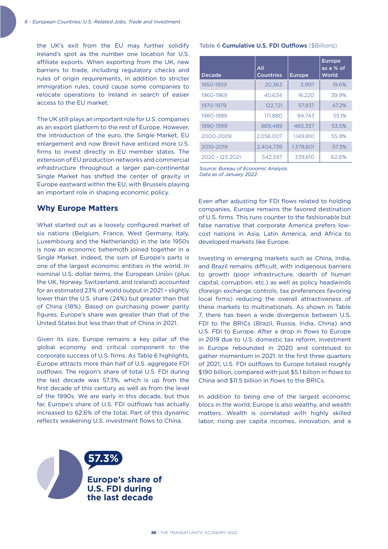the UK's exit from the EU may further solidify Ireland's spot as the number one location for U.S. affiliate exports. When exporting from the UK, new barriers to trade, including regulatory checks and rules of origin requirements, in addition to stricter immigration rules, could cause some companies to relocate operations to Ireland in search of easier access to the EU market.

The UK still plays an important role for U.S. companies as an export platform to the rest of Europe. However, the introduction of the euro, the Single Market, EU enlargement and now Brexit have enticed more U.S. firms to invest directly in EU member states. The extension of EU production networks and commercial infrastructure throughout a larger pan-continental Single Market has shifted the center of gravity in Europe eastward within the EU, with Brussels playing an important role in shaping economic policy.

### **Why Europe Matters**

What started out as a loosely configured market of six nations (Belgium, France, West Germany, Italy, Luxembourg and the Netherlands) in the late 1950s is now an economic behemoth joined together in a Single Market. Indeed, the sum of Europe's parts is one of the largest economic entities in the world. In nominal U.S. dollar terms, the European Union (plus the UK, Norway, Switzerland, and Iceland) accounted for an estimated 23% of world output in 2021 – slightly lower than the U.S. share (24%) but greater than that of China (18%). Based on purchasing power parity figures, Europe's share was greater than that of the United States but less than that of China in 2021.

Given its size, Europe remains a key pillar of the global economy and critical component to the corporate success of U.S. firms. As Table 6 highlights, Europe attracts more than half of U.S. aggregate FDI outflows. The region's share of total U.S. FDI during the last decade was 57.3%, which is up from the first decade of this century as well as from the level of the 1990s. We are early in this decade, but thus far, Europe's share of U.S. FDI outflows has actually increased to 62.6% of the total. Part of this dynamic reflects weakening U.S. investment flows to China.

#### Table 6 Cumulative U.S. FDI Outflows (\$Billions)

| <b>Decade</b>  | All<br><b>Countries</b> | <b>Europe</b> | <b>Europe</b><br>$\overline{as} a \%$ of<br>World |
|----------------|-------------------------|---------------|---------------------------------------------------|
| 1950-1959      | 20,363                  | 3,997         | 19.6%                                             |
| 1960-1969      | 40.634                  | 16.220        | 39.9%                                             |
| 1970-1979      | 122,721                 | 57.937        | 47.2%                                             |
| 1980-1989      | 171.880                 | 94.743        | 55.1%                                             |
| 1990-1999      | 869.489                 | 465,337       | 53.5%                                             |
| 2000-2009      | 2,056,007               | 1.149.810     | 55.9%                                             |
| 2010-2019      | 2.404.739               | 1.378.601     | 57.3%                                             |
| 2020 - Q3 2021 | 542.347                 | 339,610       | 62.6%                                             |

*Source: Bureau of Economic Analysis. Data as of January 2022.*

Even after adjusting for FDI flows related to holding companies, Europe remains the favored destination of U.S. firms. This runs counter to the fashionable but false narrative that corporate America prefers lowcost nations in Asia, Latin America, and Africa to developed markets like Europe.

Investing in emerging markets such as China, India, and Brazil remains difficult, with indigenous barriers to growth (poor infrastructure, dearth of human capital, corruption, etc.) as well as policy headwinds (foreign exchange controls, tax preferences favoring local firms) reducing the overall attractiveness of these markets to multinationals. As shown in Table 7, there has been a wide divergence between U.S. FDI to the BRICs (Brazil, Russia, India, China) and U.S. FDI to Europe. After a drop in flows to Europe in 2019 due to U.S. domestic tax reform, investment in Europe rebounded in 2020 and continued to gather momentum in 2021. In the first three quarters of 2021, U.S. FDI outflows to Europe totaled roughly \$190 billion, compared with just \$5.1 billion in flows to China and \$11.5 billion in flows to the BRICs.

In addition to being one of the largest economic blocs in the world, Europe is also wealthy, and wealth matters. Wealth is correlated with highly skilled labor, rising per capita incomes, innovation, and a

**Europe's share of U.S. FDI during the last decade** 

**57.3%**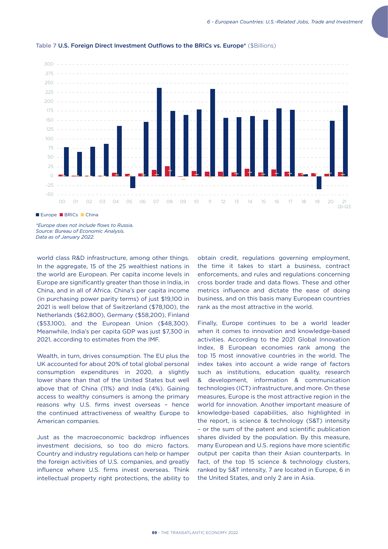

#### Table 7 U.S. Foreign Direct Investment Outflows to the BRICs vs. Europe\* (\$Billions)

*\*Europe does not include flows to Russia. Source: Bureau of Economic Analysis. Data as of January 2022.*

world class R&D infrastructure, among other things. In the aggregate, 15 of the 25 wealthiest nations in the world are European. Per capita income levels in Europe are significantly greater than those in India, in China, and in all of Africa. China's per capita income (in purchasing power parity terms) of just \$19,100 in 2021 is well below that of Switzerland (\$78,100), the Netherlands (\$62,800), Germany (\$58,200), Finland (\$53,100), and the European Union (\$48,300). Meanwhile, India's per capita GDP was just \$7,300 in 2021, according to estimates from the IMF.

Wealth, in turn, drives consumption. The EU plus the UK accounted for about 20% of total global personal consumption expenditures in 2020, a slightly lower share than that of the United States but well above that of China (11%) and India (4%). Gaining access to wealthy consumers is among the primary reasons why U.S. firms invest overseas – hence the continued attractiveness of wealthy Europe to American companies.

Just as the macroeconomic backdrop influences investment decisions, so too do micro factors. Country and industry regulations can help or hamper the foreign activities of U.S. companies, and greatly influence where U.S. firms invest overseas. Think intellectual property right protections, the ability to obtain credit, regulations governing employment, the time it takes to start a business, contract enforcements, and rules and regulations concerning cross border trade and data flows. These and other metrics influence and dictate the ease of doing business, and on this basis many European countries rank as the most attractive in the world.

Finally, Europe continues to be a world leader when it comes to innovation and knowledge-based activities. According to the 2021 Global Innovation Index, 8 European economies rank among the top 15 most innovative countries in the world. The index takes into account a wide range of factors such as institutions, education quality, research & development, information & communication technologies (ICT) infrastructure, and more. On these measures, Europe is the most attractive region in the world for innovation. Another important measure of knowledge-based capabilities, also highlighted in the report, is science & technology (S&T) intensity – or the sum of the patent and scientific publication shares divided by the population. By this measure, many European and U.S. regions have more scientific output per capita than their Asian counterparts. In fact, of the top 15 science & technology clusters, ranked by S&T intensity, 7 are located in Europe, 6 in the United States, and only 2 are in Asia.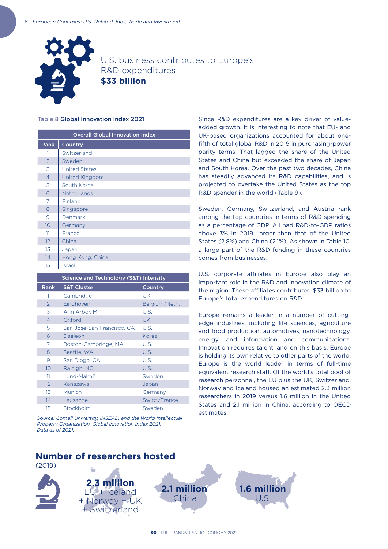

U.S. business contributes to Europe's R&D expenditures **\$33 billion**

### Table 8 Global Innovation Index 2021

| <b>Overall Global Innovation Index</b> |                      |  |  |  |
|----------------------------------------|----------------------|--|--|--|
| <b>Rank</b>                            | Country              |  |  |  |
| 1                                      | Switzerland          |  |  |  |
| $\mathcal{P}$                          | Sweden               |  |  |  |
| 3                                      | <b>United States</b> |  |  |  |
| $\overline{4}$                         | United Kingdom       |  |  |  |
| 5                                      | South Korea          |  |  |  |
| 6                                      | Netherlands          |  |  |  |
| 7                                      | Finland              |  |  |  |
| 8                                      | Singapore            |  |  |  |
| 9                                      | Denmark              |  |  |  |
| 10                                     | Germany              |  |  |  |
| 11                                     | France               |  |  |  |
| 12                                     | China                |  |  |  |
| 13                                     | Japan                |  |  |  |
| 14                                     | Hong Kong, China     |  |  |  |
| 15                                     | Israel               |  |  |  |

| Science and Technology (S&T) Intensity |                            |               |  |  |  |
|----------------------------------------|----------------------------|---------------|--|--|--|
| <b>Rank</b>                            | <b>S&amp;T Cluster</b>     | Country       |  |  |  |
| 1                                      | Cambridge                  | UK            |  |  |  |
| $\mathcal{P}$                          | Eindhoven                  | Belgium/Neth. |  |  |  |
| 3                                      | Ann Arbor, MI              | U.S.          |  |  |  |
| $\overline{4}$                         | Oxford                     | <b>UK</b>     |  |  |  |
| 5                                      | San Jose-San Francisco, CA | U.S.          |  |  |  |
| 6                                      | Daejeon                    | Korea         |  |  |  |
| 7                                      | Boston-Cambridge, MA       | U.S.          |  |  |  |
| 8                                      | Seattle, WA                | U.S.          |  |  |  |
| 9                                      | San Diego, CA              | U.S.          |  |  |  |
| 10                                     | Raleigh, NC                | U.S.          |  |  |  |
| 11                                     | Lund-Malmö                 | Sweden        |  |  |  |
| 12                                     | Kanazawa                   | Japan         |  |  |  |
| 13                                     | Munich                     | Germany       |  |  |  |
| 14                                     | Lausanne                   | Switz./France |  |  |  |
| 15                                     | Stockholm                  | Sweden        |  |  |  |

*Source: Cornell University, INSEAD, and the World Intellectual Property Organization, Global Innovation Index 2021. Data as of 2021.* 

Since R&D expenditures are a key driver of valueadded growth, it is interesting to note that EU- and UK-based organizations accounted for about onefifth of total global R&D in 2019 in purchasing-power parity terms. That lagged the share of the United States and China but exceeded the share of Japan and South Korea. Over the past two decades, China has steadily advanced its R&D capabilities, and is projected to overtake the United States as the top R&D spender in the world (Table 9).

Sweden, Germany, Switzerland, and Austria rank among the top countries in terms of R&D spending as a percentage of GDP. All had R&D-to-GDP ratios above 3% in 2019, larger than that of the United States (2.8%) and China (2.1%). As shown in Table 10, a large part of the R&D funding in these countries comes from businesses.

U.S. corporate affiliates in Europe also play an important role in the R&D and innovation climate of the region. These affiliates contributed \$33 billion to Europe's total expenditures on R&D.

Europe remains a leader in a number of cuttingedge industries, including life sciences, agriculture and food production, automotives, nanotechnology, energy, and information and communications. Innovation requires talent, and on this basis, Europe is holding its own relative to other parts of the world. Europe is the world leader in terms of full-time equivalent research staff. Of the world's total pool of research personnel, the EU plus the UK, Switzerland, Norway and Iceland housed an estimated 2.3 million researchers in 2019 versus 1.6 million in the United States and 2.1 million in China, according to OECD estimates.

# **Number of researchers hosted**

(2019)



**2.3 million** EU + Iceland + Norway + UK + Switzerland

**2.1 million** China **1.6 mill** U.S.